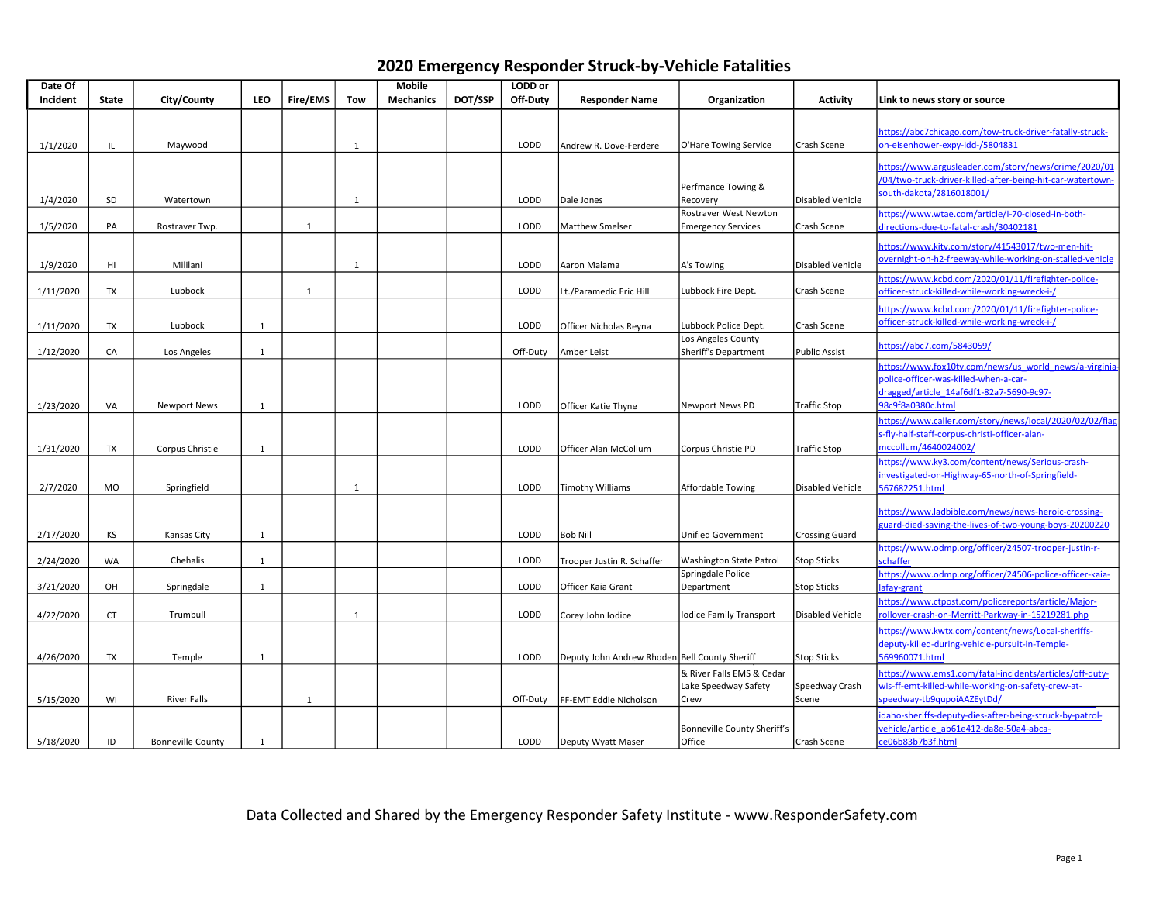|  | 2020 Emergency Responder Struck-by-Vehicle Fatalities |  |  |  |  |
|--|-------------------------------------------------------|--|--|--|--|
|--|-------------------------------------------------------|--|--|--|--|

| Date Of   |              |                          |              |                 |              | <b>Mobile</b>    |         | LODD or  |                                               |                                |                         |                                                                   |
|-----------|--------------|--------------------------|--------------|-----------------|--------------|------------------|---------|----------|-----------------------------------------------|--------------------------------|-------------------------|-------------------------------------------------------------------|
| Incident  | <b>State</b> | City/County              | <b>LEO</b>   | <b>Fire/EMS</b> | Tow          | <b>Mechanics</b> | DOT/SSP | Off-Duty | <b>Responder Name</b>                         | Organization                   | <b>Activity</b>         | Link to news story or source                                      |
|           |              |                          |              |                 |              |                  |         |          |                                               |                                |                         |                                                                   |
|           |              |                          |              |                 |              |                  |         |          |                                               |                                |                         | https://abc7chicago.com/tow-truck-driver-fatally-struck-          |
| 1/1/2020  | IL           | Maywood                  |              |                 | $\mathbf{1}$ |                  |         | LODD     | Andrew R. Dove-Ferdere                        | O'Hare Towing Service          | Crash Scene             | on-eisenhower-expy-idd-/5804831                                   |
|           |              |                          |              |                 |              |                  |         |          |                                               |                                |                         | https://www.argusleader.com/story/news/crime/2020/01              |
|           |              |                          |              |                 |              |                  |         |          |                                               |                                |                         | /04/two-truck-driver-killed-after-being-hit-car-watertown-        |
|           |              |                          |              |                 |              |                  |         |          |                                               | Perfmance Towing &             |                         | south-dakota/2816018001/                                          |
| 1/4/2020  | SD           | Watertown                |              |                 | $\mathbf{1}$ |                  |         | LODD     | Dale Jones                                    | Recovery                       | Disabled Vehicle        |                                                                   |
|           |              |                          |              |                 |              |                  |         |          |                                               | Rostraver West Newton          |                         | ttps://www.wtae.com/article/i-70-closed-in-both-                  |
| 1/5/2020  | PA           | Rostraver Twp.           |              | $\mathbf{1}$    |              |                  |         | LODD     | <b>Matthew Smelser</b>                        | <b>Emergency Services</b>      | Crash Scene             | directions-due-to-fatal-crash/30402181                            |
|           |              |                          |              |                 |              |                  |         |          |                                               |                                |                         | https://www.kitv.com/story/41543017/two-men-hit-                  |
| 1/9/2020  | HI           | Mililani                 |              |                 | 1            |                  |         | LODD     | Aaron Malama                                  | A's Towing                     | Disabled Vehicle        | overnight-on-h2-freeway-while-working-on-stalled-vehicle          |
|           |              |                          |              |                 |              |                  |         |          |                                               |                                |                         | https://www.kcbd.com/2020/01/11/firefighter-police-               |
| 1/11/2020 | TX           | Lubbock                  |              | 1               |              |                  |         | LODD     | Lt./Paramedic Eric Hill                       | Lubbock Fire Dept.             | Crash Scene             | officer-struck-killed-while-working-wreck-i-/                     |
|           |              |                          |              |                 |              |                  |         |          |                                               |                                |                         | https://www.kcbd.com/2020/01/11/firefighter-police-               |
| 1/11/2020 | TX           | Lubbock                  | 1            |                 |              |                  |         | LODD     | Officer Nicholas Reyna                        | Lubbock Police Dept.           | Crash Scene             | officer-struck-killed-while-working-wreck-i-/                     |
|           |              |                          |              |                 |              |                  |         |          |                                               | Los Angeles County             |                         |                                                                   |
| 1/12/2020 | CA           | Los Angeles              | $\mathbf{1}$ |                 |              |                  |         | Off-Duty | Amber Leist                                   | Sheriff's Department           | <b>Public Assist</b>    | https://abc7.com/5843059/                                         |
|           |              |                          |              |                 |              |                  |         |          |                                               |                                |                         | https://www.fox10tv.com/news/us world news/a-virginia             |
|           |              |                          |              |                 |              |                  |         |          |                                               |                                |                         | police-officer-was-killed-when-a-car-                             |
|           |              |                          |              |                 |              |                  |         |          |                                               |                                |                         | dragged/article 14af6df1-82a7-5690-9c97-                          |
| 1/23/2020 | VA           | <b>Newport News</b>      | 1            |                 |              |                  |         | LODD     | Officer Katie Thyne                           | Newport News PD                | <b>Traffic Stop</b>     | 8c9f8a0380c.html                                                  |
|           |              |                          |              |                 |              |                  |         |          |                                               |                                |                         | nttps://www.caller.com/story/news/local/2020/02/02/flag           |
|           |              |                          |              |                 |              |                  |         |          |                                               |                                |                         | s-fly-half-staff-corpus-christi-officer-alan-                     |
| 1/31/2020 | <b>TX</b>    | Corpus Christie          | 1            |                 |              |                  |         | LODD     | Officer Alan McCollum                         | Corpus Christie PD             | <b>Traffic Stop</b>     | nccollum/4640024002/                                              |
|           |              |                          |              |                 |              |                  |         |          |                                               |                                |                         | https://www.ky3.com/content/news/Serious-crash-                   |
|           |              |                          |              |                 |              |                  |         |          |                                               |                                |                         | nvestigated-on-Highway-65-north-of-Springfield-                   |
| 2/7/2020  | MO           | Springfield              |              |                 | 1            |                  |         | LODD     | Timothy Williams                              | Affordable Towing              | <b>Disabled Vehicle</b> | 67682251.html                                                     |
|           |              |                          |              |                 |              |                  |         |          |                                               |                                |                         | https://www.ladbible.com/news/news-heroic-crossing-               |
|           |              |                          |              |                 |              |                  |         |          |                                               |                                |                         | guard-died-saving-the-lives-of-two-young-boys-20200220            |
| 2/17/2020 | КS           | Kansas City              | 1            |                 |              |                  |         | LODD     | <b>Bob Nill</b>                               | <b>Unified Government</b>      | <b>Crossing Guard</b>   |                                                                   |
|           |              |                          |              |                 |              |                  |         |          |                                               |                                |                         | https://www.odmp.org/officer/24507-trooper-justin-r-              |
| 2/24/2020 | WA           | Chehalis                 | 1            |                 |              |                  |         | LODD     | Trooper Justin R. Schaffer                    | <b>Washington State Patrol</b> | <b>Stop Sticks</b>      | chaffer                                                           |
|           |              |                          |              |                 |              |                  |         |          |                                               | Springdale Police              |                         | https://www.odmp.org/officer/24506-police-officer-kaja-           |
| 3/21/2020 | OH           | Springdale               | 1            |                 |              |                  |         | LODD     | Officer Kaia Grant                            | Department                     | <b>Stop Sticks</b>      | afav-grant                                                        |
|           |              |                          |              |                 |              |                  |         | LODD     |                                               |                                |                         | https://www.ctpost.com/policereports/article/Major-               |
| 4/22/2020 | <b>CT</b>    | Trumbull                 |              |                 | 1            |                  |         |          | Corey John Iodice                             | lodice Family Transport        | <b>Disabled Vehicle</b> | rollover-crash-on-Merritt-Parkway-in-15219281.php                 |
|           |              |                          |              |                 |              |                  |         |          |                                               |                                |                         | https://www.kwtx.com/content/news/Local-sheriffs-                 |
| 4/26/2020 | TX           | Temple                   |              |                 |              |                  |         | LODD     | Deputy John Andrew Rhoden Bell County Sheriff |                                | <b>Stop Sticks</b>      | deputy-killed-during-vehicle-pursuit-in-Temple-<br>569960071.html |
|           |              |                          | 1            |                 |              |                  |         |          |                                               | & River Falls EMS & Cedar      |                         | https://www.ems1.com/fatal-incidents/articles/off-duty-           |
|           |              |                          |              |                 |              |                  |         |          |                                               | Lake Speedway Safety           | Speedway Crash          | vis-ff-emt-killed-while-working-on-safety-crew-at-                |
| 5/15/2020 | WI           | <b>River Falls</b>       |              | $\mathbf{1}$    |              |                  |         | Off-Duty | FF-EMT Eddie Nicholson                        | Crew                           | Scene                   | peedway-tb9qupoiAAZEytDd/                                         |
|           |              |                          |              |                 |              |                  |         |          |                                               |                                |                         | idaho-sheriffs-deputy-dies-after-being-struck-by-patrol-          |
|           |              |                          |              |                 |              |                  |         |          |                                               | Bonneville County Sheriff's    |                         | vehicle/article ab61e412-da8e-50a4-abca-                          |
| 5/18/2020 | ID           | <b>Bonneville County</b> | 1            |                 |              |                  |         | LODD     | Deputy Wyatt Maser                            | Office                         | Crash Scene             | ce06b83b7b3f.html                                                 |
|           |              |                          |              |                 |              |                  |         |          |                                               |                                |                         |                                                                   |

Data Collected and Shared by the Emergency Responder Safety Institute - www.ResponderSafety.com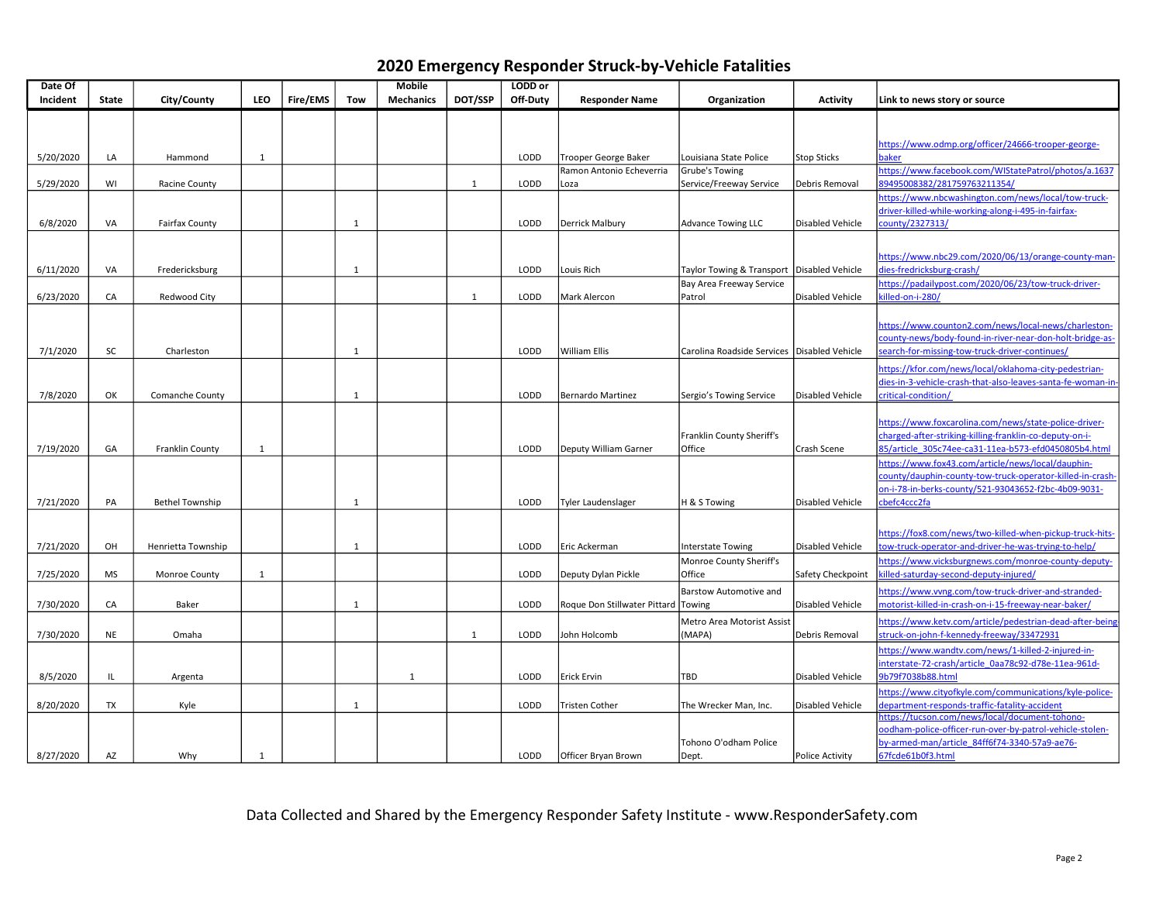| Date Of   |              |                        |              |          |              | Mobile           |              | LODD or  |                              |                                              |                         |                                                            |
|-----------|--------------|------------------------|--------------|----------|--------------|------------------|--------------|----------|------------------------------|----------------------------------------------|-------------------------|------------------------------------------------------------|
| Incident  | <b>State</b> | City/County            | <b>LEO</b>   | Fire/EMS | <b>Tow</b>   | <b>Mechanics</b> | DOT/SSP      | Off-Duty | <b>Responder Name</b>        | Organization                                 | <b>Activity</b>         | Link to news story or source                               |
|           |              |                        |              |          |              |                  |              |          |                              |                                              |                         |                                                            |
|           |              |                        |              |          |              |                  |              |          |                              |                                              |                         |                                                            |
|           |              |                        |              |          |              |                  |              |          |                              |                                              |                         | https://www.odmp.org/officer/24666-trooper-george-         |
| 5/20/2020 | LA           | Hammond                | $\mathbf{1}$ |          |              |                  |              | LODD     | Trooper George Baker         | Louisiana State Police                       | Stop Sticks             | baker                                                      |
|           |              |                        |              |          |              |                  |              |          | Ramon Antonio Echeverria     | Grube's Towing                               |                         | https://www.facebook.com/WIStatePatrol/photos/a.1637       |
| 5/29/2020 | WI           | <b>Racine County</b>   |              |          |              |                  | $\mathbf{1}$ | LODD     | Loza                         | Service/Freeway Service                      | Debris Removal          | 39495008382/281759763211354/                               |
|           |              |                        |              |          |              |                  |              |          |                              |                                              |                         | https://www.nbcwashington.com/news/local/tow-truck-        |
|           |              |                        |              |          |              |                  |              |          |                              |                                              |                         | driver-killed-while-working-along-i-495-in-fairfax-        |
| 6/8/2020  | VA           | Fairfax County         |              |          | 1            |                  |              | LODD     | Derrick Malbury              | <b>Advance Towing LLC</b>                    | Disabled Vehicle        | county/2327313/                                            |
|           |              |                        |              |          |              |                  |              |          |                              |                                              |                         |                                                            |
|           |              |                        |              |          |              |                  |              |          |                              |                                              |                         | https://www.nbc29.com/2020/06/13/orange-county-man-        |
| 6/11/2020 | VA           | Fredericksburg         |              |          | 1            |                  |              | LODD     | Louis Rich                   | Taylor Towing & Transport   Disabled Vehicle |                         | dies-fredricksburg-crash/                                  |
|           |              |                        |              |          |              |                  |              |          |                              | Bay Area Freeway Service                     |                         | https://padailypost.com/2020/06/23/tow-truck-driver-       |
| 6/23/2020 | CA           | Redwood City           |              |          |              |                  | 1            | LODD     | Mark Alercon                 | Patrol                                       | Disabled Vehicle        | illed-on-i-280/                                            |
|           |              |                        |              |          |              |                  |              |          |                              |                                              |                         |                                                            |
|           |              |                        |              |          |              |                  |              |          |                              |                                              |                         | https://www.counton2.com/news/local-news/charleston-       |
|           |              |                        |              |          |              |                  |              |          |                              |                                              |                         | county-news/body-found-in-river-near-don-holt-bridge-as-   |
| 7/1/2020  | SC           | Charleston             |              |          | 1            |                  |              | LODD     | <b>William Ellis</b>         | Carolina Roadside Services Disabled Vehicle  |                         | search-for-missing-tow-truck-driver-continues/             |
|           |              |                        |              |          |              |                  |              |          |                              |                                              |                         | https://kfor.com/news/local/oklahoma-city-pedestrian-      |
|           |              |                        |              |          |              |                  |              |          |                              |                                              |                         | lies-in-3-vehicle-crash-that-also-leaves-santa-fe-woman-in |
| 7/8/2020  | OK           | Comanche County        |              |          | -1           |                  |              | LODD     | <b>Bernardo Martinez</b>     | Sergio's Towing Service                      | Disabled Vehicle        | critical-condition/                                        |
|           |              |                        |              |          |              |                  |              |          |                              |                                              |                         |                                                            |
|           |              |                        |              |          |              |                  |              |          |                              |                                              |                         | https://www.foxcarolina.com/news/state-police-driver-      |
|           |              |                        |              |          |              |                  |              |          |                              | Franklin County Sheriff's                    |                         | charged-after-striking-killing-franklin-co-deputy-on-i-    |
| 7/19/2020 | GA           | Franklin County        | 1            |          |              |                  |              | LODD     | Deputy William Garner        | Office                                       | Crash Scene             | 85/article 305c74ee-ca31-11ea-b573-efd0450805b4.html       |
|           |              |                        |              |          |              |                  |              |          |                              |                                              |                         | https://www.fox43.com/article/news/local/dauphin-          |
|           |              |                        |              |          |              |                  |              |          |                              |                                              |                         | county/dauphin-county-tow-truck-operator-killed-in-crash-  |
|           |              |                        |              |          |              |                  |              |          |                              |                                              |                         | on-i-78-in-berks-county/521-93043652-f2bc-4b09-9031-       |
| 7/21/2020 | PA           | <b>Bethel Township</b> |              |          | 1            |                  |              | LODD     | Tyler Laudenslager           | H & S Towing                                 | Disabled Vehicle        | befc4ccc2fa                                                |
|           |              |                        |              |          |              |                  |              |          |                              |                                              |                         |                                                            |
|           |              |                        |              |          |              |                  |              |          |                              |                                              |                         | https://fox8.com/news/two-killed-when-pickup-truck-hits-   |
| 7/21/2020 | OH           | Henrietta Township     |              |          | 1            |                  |              | LODD     | Eric Ackerman                | <b>Interstate Towing</b>                     | Disabled Vehicle        | ow-truck-operator-and-driver-he-was-trying-to-help/        |
|           |              |                        |              |          |              |                  |              |          |                              | Monroe County Sheriff's                      |                         | https://www.vicksburgnews.com/monroe-county-deputy-        |
| 7/25/2020 | <b>MS</b>    | Monroe County          | 1            |          |              |                  |              | LODD     | Deputy Dylan Pickle          | Office                                       | Safety Checkpoint       | illed-saturday-second-deputy-injured/                      |
|           |              |                        |              |          |              |                  |              |          |                              | Barstow Automotive and                       |                         | https://www.vvng.com/tow-truck-driver-and-stranded-        |
| 7/30/2020 | CA           | Baker                  |              |          | $\mathbf{1}$ |                  |              | LODD     | Roque Don Stillwater Pittard | Towing                                       | Disabled Vehicle        | /notorist-killed-in-crash-on-i-15-freeway-near-baker       |
|           |              |                        |              |          |              |                  |              |          |                              | Metro Area Motorist Assist                   |                         | https://www.ketv.com/article/pedestrian-dead-after-being   |
| 7/30/2020 | <b>NE</b>    | Omaha                  |              |          |              |                  | $\mathbf{1}$ | LODD     | John Holcomb                 | (MAPA)                                       | Debris Removal          | struck-on-john-f-kennedy-freeway/33472931                  |
|           |              |                        |              |          |              |                  |              |          |                              |                                              |                         | https://www.wandtv.com/news/1-killed-2-injured-in-         |
|           |              |                        |              |          |              |                  |              |          |                              |                                              |                         | nterstate-72-crash/article 0aa78c92-d78e-11ea-961d-        |
| 8/5/2020  | IL           | Argenta                |              |          |              | 1                |              | LODD     | Erick Ervin                  | TBD                                          | Disabled Vehicle        | 9b79f7038b88.html                                          |
|           |              |                        |              |          |              |                  |              |          |                              |                                              |                         | https://www.cityofkyle.com/communications/kyle-police-     |
| 8/20/2020 | TX           | Kyle                   |              |          | 1            |                  |              | LODD     | Tristen Cother               | The Wrecker Man, Inc.                        | <b>Disabled Vehicle</b> | lepartment-responds-traffic-fatality-accident              |
|           |              |                        |              |          |              |                  |              |          |                              |                                              |                         | https://tucson.com/news/local/document-tohono-             |
|           |              |                        |              |          |              |                  |              |          |                              |                                              |                         | bodham-police-officer-run-over-by-patrol-vehicle-stolen-   |
|           |              |                        |              |          |              |                  |              |          |                              | Tohono O'odham Police                        |                         | by-armed-man/article 84ff6f74-3340-57a9-ae76-              |
| 8/27/2020 | AZ           | Why                    | 1            |          |              |                  |              | LODD     | Officer Bryan Brown          | Dept.                                        | Police Activity         | 67fcde61b0f3.html                                          |

Data Collected and Shared by the Emergency Responder Safety Institute - www.ResponderSafety.com